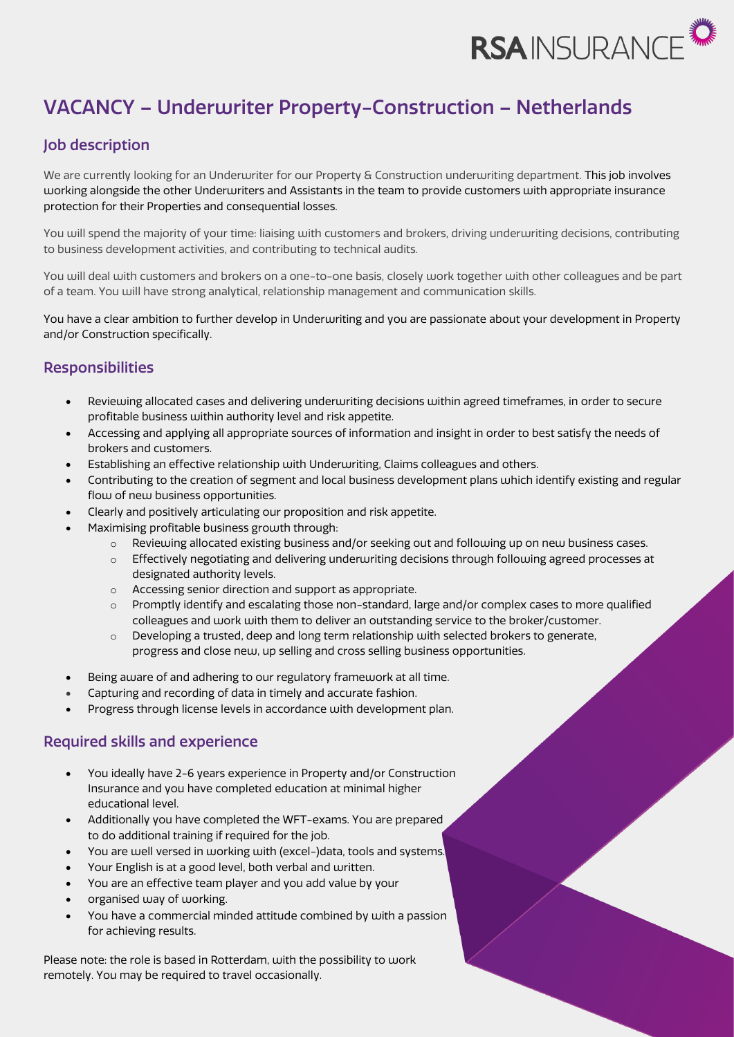

# VACANCY – Underwriter Property-Construction – Netherlands

## Job description

We are currently looking for an Underwriter for our Property & Construction underwriting department. This job involves working alongside the other Underwriters and Assistants in the team to provide customers with appropriate insurance protection for their Properties and consequential losses.

You will spend the majority of your time: liaising with customers and brokers, driving underwriting decisions, contributing to business development activities, and contributing to technical audits.

You will deal with customers and brokers on a one-to-one basis, closely work together with other colleagues and be part of a team. You will have strong analytical, relationship management and communication skills.

You have a clear ambition to further develop in Underwriting and you are passionate about your development in Property and/or Construction specifically.

### **Responsibilities**

- Reviewing allocated cases and delivering underwriting decisions within agreed timeframes, in order to secure profitable business within authority level and risk appetite.
- Accessing and applying all appropriate sources of information and insight in order to best satisfy the needs of brokers and customers.
- Establishing an effective relationship with Underwriting, Claims colleagues and others.
- Contributing to the creation of segment and local business development plans which identify existing and regular flow of new business opportunities.
- Clearly and positively articulating our proposition and risk appetite.
- Maximising profitable business growth through:
	- o Reviewing allocated existing business and/or seeking out and following up on new business cases.
	- o Effectively negotiating and delivering underwriting decisions through following agreed processes at designated authority levels.
	- o Accessing senior direction and support as appropriate.
	- $\circ$  Promptly identify and escalating those non-standard, large and/or complex cases to more qualified colleagues and work with them to deliver an outstanding service to the broker/customer.
	- $\circ$  Developing a trusted, deep and long term relationship with selected brokers to generate, progress and close new, up selling and cross selling business opportunities.
- Being aware of and adhering to our regulatory framework at all time.
- Capturing and recording of data in timely and accurate fashion.
- Progress through license levels in accordance with development plan.

### Required skills and experience

- You ideally have 2-6 years experience in Property and/or Construction Insurance and you have completed education at minimal higher educational level.
- Additionally you have completed the WFT-exams. You are prepared to do additional training if required for the job.
- You are well versed in working with (excel-)data, tools and systems.
- Your English is at a good level, both verbal and written.
- You are an effective team player and you add value by your
- organised way of working.
- You have a commercial minded attitude combined by with a passion for achieving results.

Please note: the role is based in Rotterdam, with the possibility to work remotely. You may be required to travel occasionally.